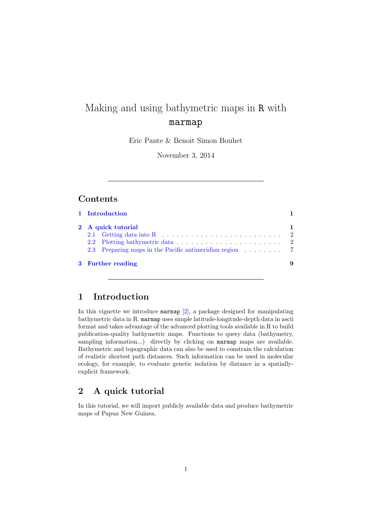# Making and using bathymetric maps in R with marmap

Eric Pante & Benoit Simon Bouhet

November 3, 2014

### Contents

|  | 2 A quick tutorial                                                        |
|--|---------------------------------------------------------------------------|
|  | 2.1 Getting data into R $\dots \dots \dots \dots \dots \dots \dots \dots$ |
|  |                                                                           |
|  | 2.3 Preparing maps in the Pacific antimeridian region 7                   |

### <span id="page-0-0"></span>1 Introduction

In this vignette we introduce marmap [\[2\]](#page-8-1), a package designed for manipulating bathymetric data in R. marmap uses simple latitude-longitude-depth data in ascii format and takes advantage of the advanced plotting tools available in R to build publication-quality bathymetric maps. Functions to query data (bathymetry, sampling information...) directly by clicking on marmap maps are available. Bathymetric and topographic data can also be used to constrain the calculation of realistic shortest path distances. Such information can be used in molecular ecology, for example, to evaluate genetic isolation by distance in a spatiallyexplicit framework.

### <span id="page-0-1"></span>2 A quick tutorial

In this tutorial, we will import publicly available data and produce bathymetric maps of Papua New Guinea.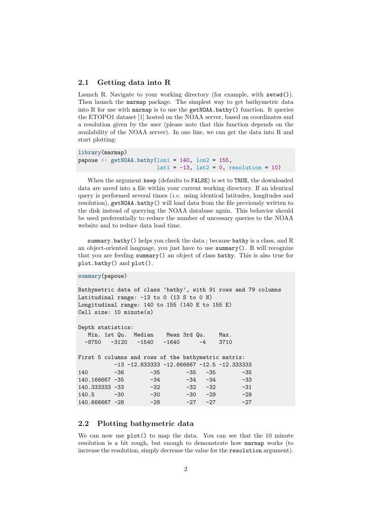#### <span id="page-1-0"></span>2.1 Getting data into R

Launch R. Navigate to your working directory (for example, with setwd()). Then launch the marmap package. The simplest way to get bathymetric data into R for use with marmap is to use the getNOAA.bathy() function. It queries the ETOPO1 dataset [\[1\]](#page-8-2) hosted on the NOAA server, based on coordinates and a resolution given by the user (please note that this function depends on the availability of the NOAA server). In one line, we can get the data into R and start plotting:

```
library(marmap)
papoue \leq getNOAA.bathy(lon1 = 140, lon2 = 155,
                         lat1 = -13, lat2 = 0, resolution = 10)
```
When the argument keep (defaults to FALSE) is set to TRUE, the downloaded data are saved into a file within your current working directory. If an identical query is performed several times (*i.e.* using identical latitudes, longitudes and resolution), getNOAA.bathy() will load data from the file previously written to the disk instead of querying the NOAA database again. This behavior should be used preferentially to reduce the number of uncessary queries to the NOAA website and to reduce data load time.

summary.bathy() helps you check the data ; because bathy is a class, and R an object-oriented language, you just have to use summary(). R will recognize that you are feeding summary() an object of class bathy. This is also true for plot.bathy() and plot().

```
summary(papoue)
```

```
Bathymetric data of class 'bathy', with 91 rows and 79 columns
Latitudinal range: -13 to 0 (13 S to 0 N)
Longitudinal range: 140 to 155 (140 E to 155 E)
Cell size: 10 minute(s)
Depth statistics:
  Min. 1st Qu. Median Mean 3rd Qu. Max.
 -8750 -3120 -1540 -1640 -4 3710
First 5 columns and rows of the bathymetric matrix:
        -13 -12.833333 -12.666667 -12.5 -12.333333140 -36 -35 -35 -35 -35
140.166667 -35 -34 -34 -34 -33
140.333333 -33 -32 -32 -32 -31
140.5 -30 -30 -30 -29 -29
140.666667 -28 -28 -27 -27 -27
```
### <span id="page-1-1"></span>2.2 Plotting bathymetric data

We can now use plot() to map the data. You can see that the 10 minute resolution is a bit rough, but enough to demonstrate how marmap works (to increase the resolution, simply decrease the value for the resolution argument).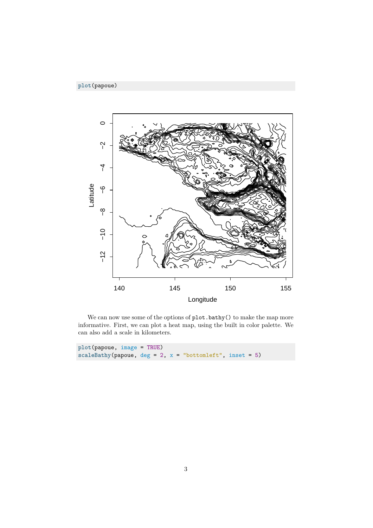

We can now use some of the options of  $\mathtt{plot}.\mathtt{bathy}()$  to make the map more informative. First, we can plot a heat map, using the built in color palette. We can also add a scale in kilometers.

| $plot(papoue, image = TRUE)$                                 |  |  |
|--------------------------------------------------------------|--|--|
| scaleBathy(papoue, $deg = 2$ , $x = "bottomleft", inst = 5)$ |  |  |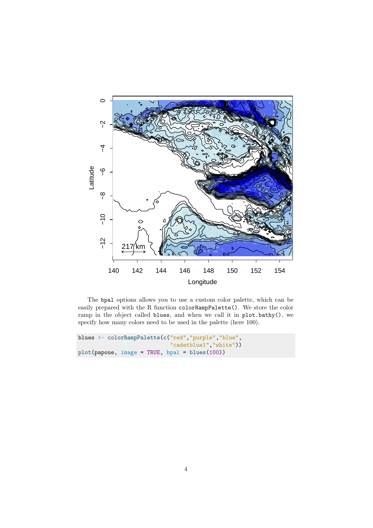

The bpal options allows you to use a custom color palette, which can be easily prepared with the R function colorRampPalette(). We store the color ramp in the object called blues, and when we call it in plot.bathy(), we specify how many colors need to be used in the palette (here 100).

```
blues <- colorRampPalette(c("red","purple","blue",
                            "cadetblue1","white"))
plot(papoue, image = TRUE, bpal = blues(100))
```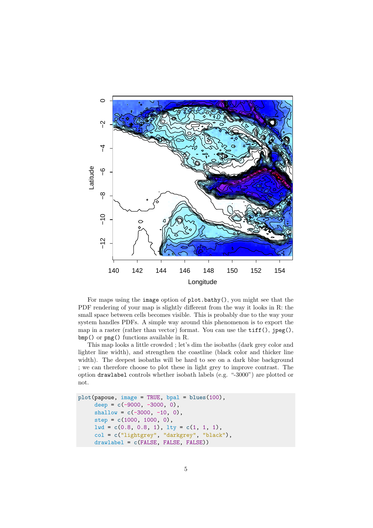

For maps using the image option of plot.bathy(), you might see that the PDF rendering of your map is slightly different from the way it looks in R: the small space between cells becomes visible. This is probably due to the way your system handles PDFs. A simple way around this phenomenon is to export the map in a raster (rather than vector) format. You can use the **tiff()**,  $\text{$ *j* $peg(),$ bmp() or png() functions available in R.

This map looks a little crowded ; let's dim the isobaths (dark grey color and lighter line width), and strengthen the coastline (black color and thicker line width). The deepest isobaths will be hard to see on a dark blue background ; we can therefore choose to plot these in light grey to improve contrast. The option drawlabel controls whether isobath labels (e.g. "-3000") are plotted or not.

```
plot(papoue, image = TRUE, bpal = blues(100),
    deep = c(-9000, -3000, 0),
    shallow = c(-3000, -10, 0),step = c(1000, 1000, 0),
    lwd = c(0.8, 0.8, 1), lty = c(1, 1, 1),col = c("lightgrey", "darkgrey", "black"),
     drawlabel = c(FALSE, FALSE, FALSE))
```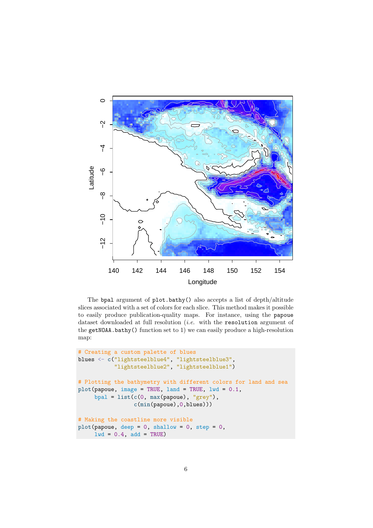

The bpal argument of plot.bathy() also accepts a list of depth/altitude slices associated with a set of colors for each slice. This method makes it possible to easily produce publication-quality maps. For instance, using the papoue dataset downloaded at full resolution  $(i.e.$  with the resolution argument of the getNOAA.bathy() function set to 1) we can easily produce a high-resolution map:

```
# Creating a custom palette of blues
blues <- c("lightsteelblue4", "lightsteelblue3",
           "lightsteelblue2", "lightsteelblue1")
# Plotting the bathymetry with different colors for land and sea
plot(papoue, image = TRUE, land = TRUE, lwd = 0.1,
     bpal = list(c(0, max(papoue), "grey"),c(min(papoue),0,blues)))
# Making the coastline more visible
plot(papoue, deep = 0, shallow = 0, step = 0,
     1wd = 0.4, add = TRUE)
```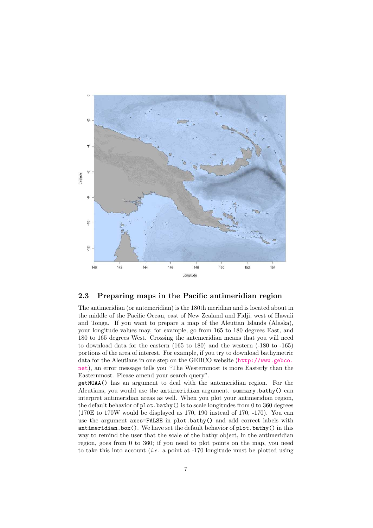

#### <span id="page-6-0"></span>2.3 Preparing maps in the Pacific antimeridian region

The antimeridian (or antemeridian) is the 180th meridian and is located about in the middle of the Pacific Ocean, east of New Zealand and Fidji, west of Hawaii and Tonga. If you want to prepare a map of the Aleutian Islands (Alaska), your longitude values may, for example, go from 165 to 180 degrees East, and 180 to 165 degrees West. Crossing the antemeridian means that you will need to download data for the eastern (165 to 180) and the western (-180 to -165) portions of the area of interest. For example, if you try to download bathymetric data for the Aleutians in one step on the GEBCO website ([http://www.gebco.](http://www.gebco.net) [net](http://www.gebco.net)), an error message tells you "The Westernmost is more Easterly than the Easternmost. Please amend your search query".

getNOAA() has an argument to deal with the antemeridian region. For the Aleutians, you would use the antimeridian argument. summary.bathy() can interpret antimeridian areas as well. When you plot your antimeridian region, the default behavior of plot.bathy() is to scale longitudes from 0 to 360 degrees (170E to 170W would be displayed as 170, 190 instead of 170, -170). You can use the argument axes=FALSE in plot.bathy() and add correct labels with antimeridian.box(). We have set the default behavior of plot.bathy() in this way to remind the user that the scale of the bathy object, in the antimeridian region, goes from 0 to 360; if you need to plot points on the map, you need to take this into account (*i.e.* a point at  $-170$  longitude must be plotted using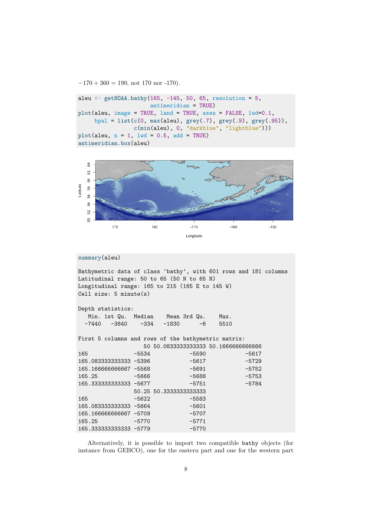$-170 + 360 = 190$ , not 170 nor -170).

```
aleu \le getNOAA.bathy(165, -145, 50, 65, resolution = 5,
                      antimeridian = TRUE)
plot(aleu, image = TRUE, land = TRUE, axes = FALSE, lwd=0.1,
     bpal = list(c(0, max(aleu), grey(.7), grey(.9), grey(.95)),c(min(aleu), 0, "darkblue", "lightblue")))
plot(aleu, n = 1, lwd = 0.5, add = TRUE)
antimeridian.box(aleu)
```


```
summary(aleu)
```
Bathymetric data of class 'bathy', with 601 rows and 181 columns Latitudinal range: 50 to 65 (50 N to 65 N) Longitudinal range: 165 to 215 (165 E to 145 W) Cell size: 5 minute(s)

| Depth statistics: |                        |  |                                  |      |      |  |  |  |  |  |  |
|-------------------|------------------------|--|----------------------------------|------|------|--|--|--|--|--|--|
|                   |                        |  | Min. 1st Qu. Median Mean 3rd Qu. |      | Max. |  |  |  |  |  |  |
|                   | -7440 -3840 -334 -1830 |  |                                  | $-6$ | 5510 |  |  |  |  |  |  |

165.333333333333 -5779 -5770

First 5 columns and rows of the bathymetric matrix: 50 50.0833333333333 50.1666666666666 165 -5534 -5590 -5617 165.08333333333333335 -5396 -5617 -5729 165.166666666667 -5568 -5691 -5752 165.25 -5666 -5688 -5753 165.333333333333 -5677 -5751 -5784 50.25 50.3333333333333 165 -5622 -5583 165.0833333333333333334 -5664 -5601 165.166666666667 -5709 -5707 165.25 -5770 -5771

Alternatively, it is possible to import two compatible bathy objects (for instance from GEBCO), one for the eastern part and one for the western part